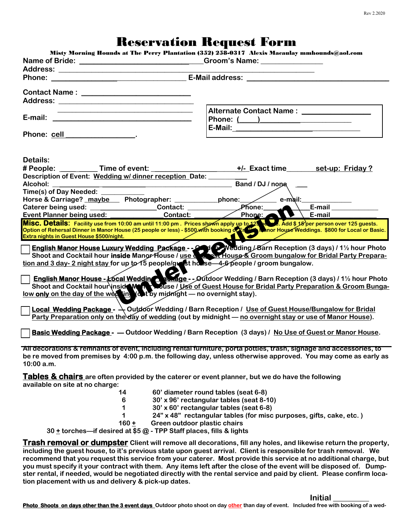## Reservation Request Form

| Name of Bride: ________________________________Groom's Name: ___________________                                                                                  | <b>TUESCI VALIUII TUCQUEST T'UI III</b><br>Misty Morning Hounds at The Perry Plantation (352) 258-0317 Alexis Macaulay mmhounds@aol.com                                                                                                                                                                                                                                                                                                                                                                                                                                                                              |
|-------------------------------------------------------------------------------------------------------------------------------------------------------------------|----------------------------------------------------------------------------------------------------------------------------------------------------------------------------------------------------------------------------------------------------------------------------------------------------------------------------------------------------------------------------------------------------------------------------------------------------------------------------------------------------------------------------------------------------------------------------------------------------------------------|
|                                                                                                                                                                   |                                                                                                                                                                                                                                                                                                                                                                                                                                                                                                                                                                                                                      |
|                                                                                                                                                                   |                                                                                                                                                                                                                                                                                                                                                                                                                                                                                                                                                                                                                      |
|                                                                                                                                                                   |                                                                                                                                                                                                                                                                                                                                                                                                                                                                                                                                                                                                                      |
|                                                                                                                                                                   |                                                                                                                                                                                                                                                                                                                                                                                                                                                                                                                                                                                                                      |
|                                                                                                                                                                   |                                                                                                                                                                                                                                                                                                                                                                                                                                                                                                                                                                                                                      |
|                                                                                                                                                                   | Alternate Contact Name: _________________                                                                                                                                                                                                                                                                                                                                                                                                                                                                                                                                                                            |
|                                                                                                                                                                   |                                                                                                                                                                                                                                                                                                                                                                                                                                                                                                                                                                                                                      |
|                                                                                                                                                                   |                                                                                                                                                                                                                                                                                                                                                                                                                                                                                                                                                                                                                      |
| Phone: cell __________________.                                                                                                                                   |                                                                                                                                                                                                                                                                                                                                                                                                                                                                                                                                                                                                                      |
|                                                                                                                                                                   |                                                                                                                                                                                                                                                                                                                                                                                                                                                                                                                                                                                                                      |
| Details:                                                                                                                                                          |                                                                                                                                                                                                                                                                                                                                                                                                                                                                                                                                                                                                                      |
| # People: ____ ____ Time of event: _______                                                                                                                        |                                                                                                                                                                                                                                                                                                                                                                                                                                                                                                                                                                                                                      |
| Description of Event: Wedding w/ dinner reception Date: ______                                                                                                    |                                                                                                                                                                                                                                                                                                                                                                                                                                                                                                                                                                                                                      |
| Alcohol:                                                                                                                                                          | Band / DJ / nope                                                                                                                                                                                                                                                                                                                                                                                                                                                                                                                                                                                                     |
| Time(s) of Day Needed: ______                                                                                                                                     |                                                                                                                                                                                                                                                                                                                                                                                                                                                                                                                                                                                                                      |
|                                                                                                                                                                   |                                                                                                                                                                                                                                                                                                                                                                                                                                                                                                                                                                                                                      |
|                                                                                                                                                                   |                                                                                                                                                                                                                                                                                                                                                                                                                                                                                                                                                                                                                      |
|                                                                                                                                                                   |                                                                                                                                                                                                                                                                                                                                                                                                                                                                                                                                                                                                                      |
| Extra nights in Guest House \$500/night.                                                                                                                          | Misc. Details: Facility use from 10:00 am until 11:00 pm . Prices shown apply up to 125 being . Add \$ 18 per person over 125 guests.<br>Option of Rehersal Dinner in Manor House (25 people or less) - \$500 with booking of From<br><u> a shekara ta 1989, a shekara ta 1989, a shekara ta 1989, a shekara ta 1989, a shekara ta 1989, a shekara ta 1989, a shekara ta 1989, a shekara ta 1989, a shekara ta 1989, a shekara ta 1989, a shekara ta 1989, a shekara t</u>                                                                                                                                           |
| tion and 3 day- 2 night stay for up to 15 people/great house—4-6 people / groom bungalow.<br>low only on the day of the wed in the midnight - no overnight stay). | English Manor House Luxury Wedding Package - - 2 Wedding / Barn Reception (3 days) / 1½ hour Photo<br>Shoot and Cocktail hour inside Manor House / use Constructions & Groom bungalow for Bridal Party Prepara-<br>English Manor House - Local Weddin<br>Shoot and Cocktail hour inside Weddin Could be of Guest House for Bridal Party Preparation & Groom Bunga-<br><b>Local Wedding Package - <math>\rightarrow</math> Outdoor Wedding / Barn Reception / Use of Guest House/Bungalow for Bridal</b><br>Party Preparation only on the day of wedding (out by midnight — no overnight stay or use of Manor House). |
|                                                                                                                                                                   | Basic Wedding Package - — Outdoor Wedding / Barn Reception (3 days) / No Use of Guest or Manor House.                                                                                                                                                                                                                                                                                                                                                                                                                                                                                                                |
| 10:00 a.m.                                                                                                                                                        | All decorations & remnants of event, including rental furniture, porta potties, trash, signage and accessories, to<br>be re moved from premises by 4:00 p.m. the following day, unless otherwise approved. You may come as early as                                                                                                                                                                                                                                                                                                                                                                                  |
| available on site at no charge:                                                                                                                                   | Tables & chairs are often provided by the caterer or event planner, but we do have the following                                                                                                                                                                                                                                                                                                                                                                                                                                                                                                                     |
| 14<br>6<br>1<br>1<br>$160 +$<br>30 ± torches-if desired at \$5 @ - TPP Staff places, fills & lights                                                               | 60' diameter round tables (seat 6-8)<br>30' x 96' rectangular tables (seat 8-10)<br>30' x 60' rectangular tables (seat 6-8)<br>24" x 48" rectangular tables (for misc purposes, gifts, cake, etc.)<br>Green outdoor plastic chairs                                                                                                                                                                                                                                                                                                                                                                                   |
|                                                                                                                                                                   | <b>Trash removal or dumpster</b> Client will remove all decorations, fill any holes, and likewise return the property,                                                                                                                                                                                                                                                                                                                                                                                                                                                                                               |
|                                                                                                                                                                   | including the guest house, to it's previous state upon guest arrival. Client is responsible for trash removal. We                                                                                                                                                                                                                                                                                                                                                                                                                                                                                                    |

**recommend that you request this service from your caterer. Most provide this service at no additional charge, but you must specify it your contract with them. Any items left after the close of the event will be disposed of. Dumpster rental, if needed, would be negotiated directly with the rental service and paid by client. Please confirm location placement with us and delivery & pick-up dates.**